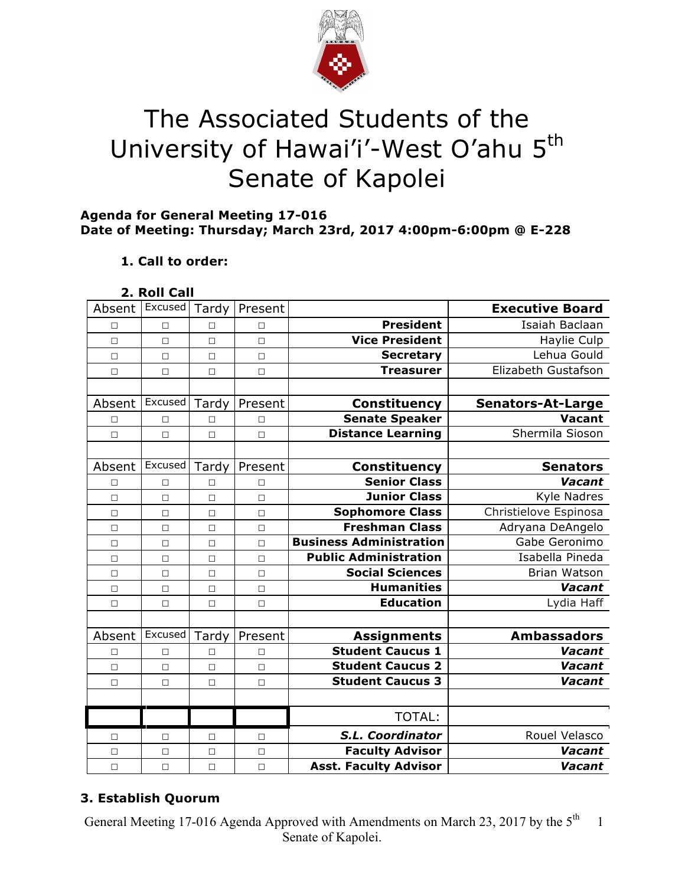

# The Associated Students of the University of Hawai'i'-West O'ahu 5<sup>th</sup> Senate of Kapolei

## **Agenda for General Meeting 17-016 Date of Meeting: Thursday; March 23rd, 2017 4:00pm-6:00pm @ E-228**

# **1. Call to order:**

| Roll ( | all |  |
|--------|-----|--|
|        |     |  |

| Absent | Excused | Tardy  | Present |                                | <b>Executive Board</b>   |
|--------|---------|--------|---------|--------------------------------|--------------------------|
| □      | $\Box$  | $\Box$ | $\Box$  | <b>President</b>               | Isaiah Baclaan           |
| $\Box$ | $\Box$  | $\Box$ | $\Box$  | <b>Vice President</b>          | Haylie Culp              |
| $\Box$ | $\Box$  | $\Box$ | $\Box$  | <b>Secretary</b>               | Lehua Gould              |
| $\Box$ | $\Box$  | $\Box$ | $\Box$  | <b>Treasurer</b>               | Elizabeth Gustafson      |
|        |         |        |         |                                |                          |
| Absent | Excused | Tardy  | Present | <b>Constituency</b>            | <b>Senators-At-Large</b> |
| $\Box$ | $\Box$  | $\Box$ | $\Box$  | <b>Senate Speaker</b>          | <b>Vacant</b>            |
| $\Box$ | $\Box$  | $\Box$ | $\Box$  | <b>Distance Learning</b>       | Shermila Sioson          |
|        |         |        |         |                                |                          |
| Absent | Excused | Tardy  | Present | <b>Constituency</b>            | <b>Senators</b>          |
| □      | $\Box$  | П      | $\Box$  | <b>Senior Class</b>            | Vacant                   |
| $\Box$ | $\Box$  | $\Box$ | $\Box$  | <b>Junior Class</b>            | Kyle Nadres              |
| $\Box$ | $\Box$  | $\Box$ | $\Box$  | <b>Sophomore Class</b>         | Christielove Espinosa    |
| $\Box$ | $\Box$  | $\Box$ | $\Box$  | <b>Freshman Class</b>          | Adryana DeAngelo         |
| $\Box$ | $\Box$  | $\Box$ | $\Box$  | <b>Business Administration</b> | Gabe Geronimo            |
| $\Box$ | $\Box$  | $\Box$ | $\Box$  | <b>Public Administration</b>   | Isabella Pineda          |
| $\Box$ | $\Box$  | $\Box$ | $\Box$  | <b>Social Sciences</b>         | <b>Brian Watson</b>      |
| $\Box$ | $\Box$  | $\Box$ | $\Box$  | <b>Humanities</b>              | Vacant                   |
| $\Box$ | $\Box$  | $\Box$ | $\Box$  | <b>Education</b>               | Lydia Haff               |
|        |         |        |         |                                |                          |
| Absent | Excused | Tardy  | Present | <b>Assignments</b>             | <b>Ambassadors</b>       |
| $\Box$ | $\Box$  | $\Box$ | $\Box$  | <b>Student Caucus 1</b>        | Vacant                   |
| $\Box$ | $\Box$  | $\Box$ | $\Box$  | <b>Student Caucus 2</b>        | Vacant                   |
| $\Box$ | $\Box$  | $\Box$ | $\Box$  | <b>Student Caucus 3</b>        | Vacant                   |
|        |         |        |         |                                |                          |
|        |         |        |         | <b>TOTAL:</b>                  |                          |
| □      | □       | □      | $\Box$  | S.L. Coordinator               | Rouel Velasco            |
| $\Box$ | $\Box$  | $\Box$ | $\Box$  | <b>Faculty Advisor</b>         | Vacant                   |
| $\Box$ | $\Box$  | $\Box$ | $\Box$  | <b>Asst. Faculty Advisor</b>   | Vacant                   |

# **3. Establish Quorum**

General Meeting 17-016 Agenda Approved with Amendments on March 23, 2017 by the 5<sup>th</sup> Senate of Kapolei. 1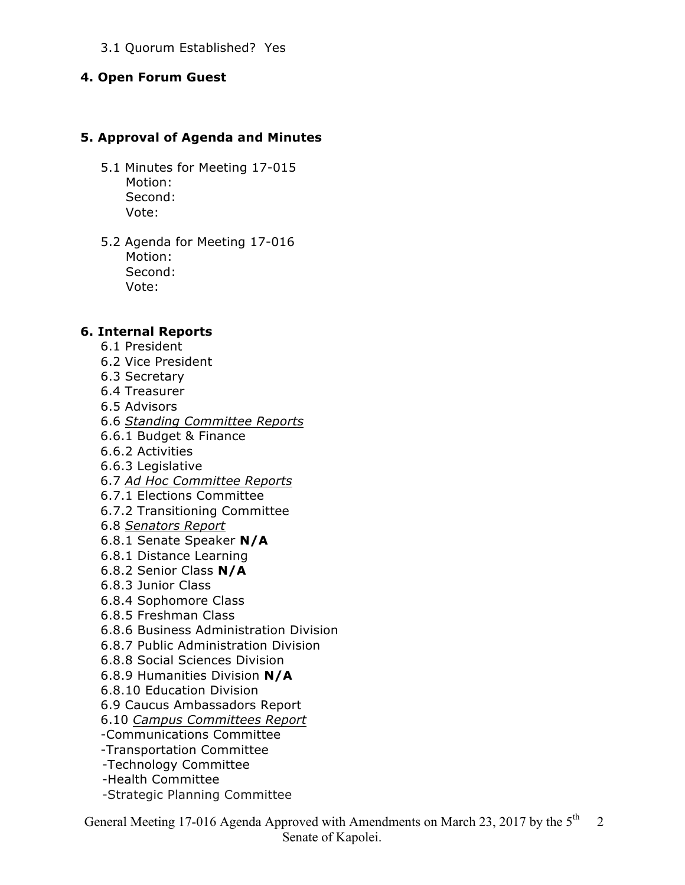#### 3.1 Quorum Established? Yes

#### **4. Open Forum Guest**

#### **5. Approval of Agenda and Minutes**

- 5.1 Minutes for Meeting 17-015 Motion: Second: Vote:
- 5.2 Agenda for Meeting 17-016 Motion: Second: Vote:

#### **6. Internal Reports**

- 6.1 President
- 6.2 Vice President
- 6.3 Secretary
- 6.4 Treasurer
- 6.5 Advisors
- 6.6 *Standing Committee Reports*
- 6.6.1 Budget & Finance
- 6.6.2 Activities
- 6.6.3 Legislative
- 6.7 *Ad Hoc Committee Reports*
- 6.7.1 Elections Committee
- 6.7.2 Transitioning Committee
- 6.8 *Senators Report*
- 6.8.1 Senate Speaker **N/A**
- 6.8.1 Distance Learning
- 6.8.2 Senior Class **N/A**
- 6.8.3 Junior Class
- 6.8.4 Sophomore Class
- 6.8.5 Freshman Class
- 6.8.6 Business Administration Division
- 6.8.7 Public Administration Division
- 6.8.8 Social Sciences Division
- 6.8.9 Humanities Division **N/A**
- 6.8.10 Education Division
- 6.9 Caucus Ambassadors Report
- 6.10 *Campus Committees Report*
- -Communications Committee
- -Transportation Committee
- -Technology Committee
- -Health Committee
- -Strategic Planning Committee